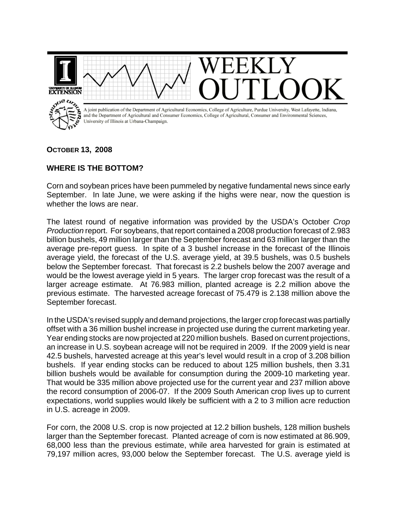

## **OCTOBER 13, 2008**

## **WHERE IS THE BOTTOM?**

Corn and soybean prices have been pummeled by negative fundamental news since early September. In late June, we were asking if the highs were near, now the question is whether the lows are near.

The latest round of negative information was provided by the USDA's October *Crop Production* report. For soybeans, that report contained a 2008 production forecast of 2.983 billion bushels, 49 million larger than the September forecast and 63 million larger than the average pre-report guess. In spite of a 3 bushel increase in the forecast of the Illinois average yield, the forecast of the U.S. average yield, at 39.5 bushels, was 0.5 bushels below the September forecast. That forecast is 2.2 bushels below the 2007 average and would be the lowest average yield in 5 years. The larger crop forecast was the result of a larger acreage estimate. At 76.983 million, planted acreage is 2.2 million above the previous estimate. The harvested acreage forecast of 75.479 is 2.138 million above the September forecast.

In the USDA's revised supply and demand projections, the larger crop forecast was partially offset with a 36 million bushel increase in projected use during the current marketing year. Year ending stocks are now projected at 220 million bushels. Based on current projections, an increase in U.S. soybean acreage will not be required in 2009. If the 2009 yield is near 42.5 bushels, harvested acreage at this year's level would result in a crop of 3.208 billion bushels. If year ending stocks can be reduced to about 125 million bushels, then 3.31 billion bushels would be available for consumption during the 2009-10 marketing year. That would be 335 million above projected use for the current year and 237 million above the record consumption of 2006-07. If the 2009 South American crop lives up to current expectations, world supplies would likely be sufficient with a 2 to 3 million acre reduction in U.S. acreage in 2009.

For corn, the 2008 U.S. crop is now projected at 12.2 billion bushels, 128 million bushels larger than the September forecast. Planted acreage of corn is now estimated at 86.909, 68,000 less than the previous estimate, while area harvested for grain is estimated at 79,197 million acres, 93,000 below the September forecast. The U.S. average yield is